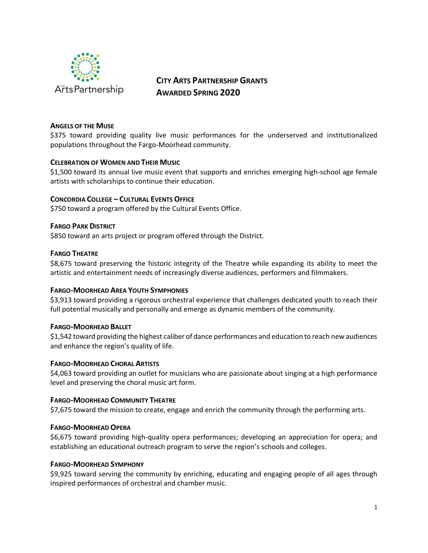

# **CITY ARTS PARTNERSHIP GRANTS AWARDED SPRING 2020**

# **ANGELS OF THE MUSE**

\$375 toward providing quality live music performances for the underserved and institutionalized populations throughout the Fargo-Moorhead community.

# **CELEBRATION OF WOMEN AND THEIR MUSIC**

\$1,500 toward its annual live music event that supports and enriches emerging high-school age female artists with scholarships to continue their education.

# **CONCORDIA COLLEGE – CULTURAL EVENTS OFFICE**

\$750 toward a program offered by the Cultural Events Office.

# **FARGO PARK DISTRICT**

\$850 toward an arts project or program offered through the District.

# **FARGO THEATRE**

\$8,675 toward preserving the historic integrity of the Theatre while expanding its ability to meet the artistic and entertainment needs of increasingly diverse audiences, performers and filmmakers.

# **FARGO-MOORHEAD AREA YOUTH SYMPHONIES**

\$3,913 toward providing a rigorous orchestral experience that challenges dedicated youth to reach their full potential musically and personally and emerge as dynamic members of the community.

# **FARGO-MOORHEAD BALLET**

\$1,542 toward providing the highest caliber of dance performances and education to reach new audiences and enhance the region's quality of life.

# **FARGO-MOORHEAD CHORAL ARTISTS**

\$4,063 toward providing an outlet for musicians who are passionate about singing at a high performance level and preserving the choral music art form.

# **FARGO-MOORHEAD COMMUNITY THEATRE**

\$7,675 toward the mission to create, engage and enrich the community through the performing arts.

# **FARGO-MOORHEAD OPERA**

\$6,675 toward providing high-quality opera performances; developing an appreciation for opera; and establishing an educational outreach program to serve the region's schools and colleges.

# **FARGO-MOORHEAD SYMPHONY**

\$9,925 toward serving the community by enriching, educating and engaging people of all ages through inspired performances of orchestral and chamber music.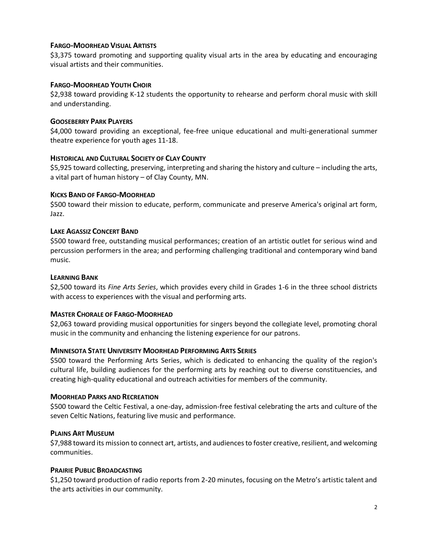# **FARGO-MOORHEAD VISUAL ARTISTS**

\$3,375 toward promoting and supporting quality visual arts in the area by educating and encouraging visual artists and their communities.

# **FARGO-MOORHEAD YOUTH CHOIR**

\$2,938 toward providing K-12 students the opportunity to rehearse and perform choral music with skill and understanding.

## **GOOSEBERRY PARK PLAYERS**

\$4,000 toward providing an exceptional, fee-free unique educational and multi-generational summer theatre experience for youth ages 11-18.

## **HISTORICAL AND CULTURAL SOCIETY OF CLAY COUNTY**

\$5,925 toward collecting, preserving, interpreting and sharing the history and culture – including the arts, a vital part of human history – of Clay County, MN.

## **KICKS BAND OF FARGO-MOORHEAD**

\$500 toward their mission to educate, perform, communicate and preserve America's original art form, Jazz.

## **LAKE AGASSIZ CONCERT BAND**

\$500 toward free, outstanding musical performances; creation of an artistic outlet for serious wind and percussion performers in the area; and performing challenging traditional and contemporary wind band music.

#### **LEARNING BANK**

\$2,500 toward its *Fine Arts Series*, which provides every child in Grades 1-6 in the three school districts with access to experiences with the visual and performing arts.

# **MASTER CHORALE OF FARGO-MOORHEAD**

\$2,063 toward providing musical opportunities for singers beyond the collegiate level, promoting choral music in the community and enhancing the listening experience for our patrons.

# **MINNESOTA STATE UNIVERSITY MOORHEAD PERFORMING ARTS SERIES**

\$500 toward the Performing Arts Series, which is dedicated to enhancing the quality of the region's cultural life, building audiences for the performing arts by reaching out to diverse constituencies, and creating high-quality educational and outreach activities for members of the community.

#### **MOORHEAD PARKS AND RECREATION**

\$500 toward the Celtic Festival, a one-day, admission-free festival celebrating the arts and culture of the seven Celtic Nations, featuring live music and performance.

#### **PLAINS ART MUSEUM**

\$7,988 toward its mission to connect art, artists, and audiences to foster creative, resilient, and welcoming communities.

#### **PRAIRIE PUBLIC BROADCASTING**

\$1,250 toward production of radio reports from 2-20 minutes, focusing on the Metro's artistic talent and the arts activities in our community.